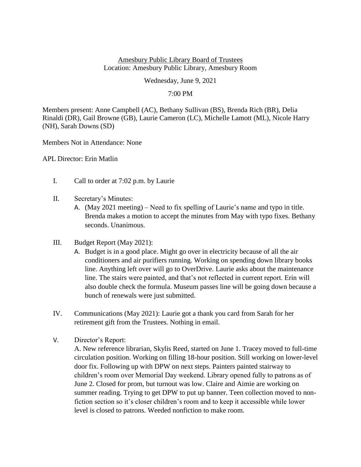## Amesbury Public Library Board of Trustees Location: Amesbury Public Library, Amesbury Room

Wednesday, June 9, 2021

## 7:00 PM

Members present: Anne Campbell (AC), Bethany Sullivan (BS), Brenda Rich (BR), Delia Rinaldi (DR), Gail Browne (GB), Laurie Cameron (LC), Michelle Lamott (ML), Nicole Harry (NH), Sarah Downs (SD)

Members Not in Attendance: None

APL Director: Erin Matlin

- I. Call to order at 7:02 p.m. by Laurie
- II. Secretary's Minutes:
	- A. (May 2021 meeting) Need to fix spelling of Laurie's name and typo in title. Brenda makes a motion to accept the minutes from May with typo fixes. Bethany seconds. Unanimous.
- III. Budget Report (May 2021):
	- A. Budget is in a good place. Might go over in electricity because of all the air conditioners and air purifiers running. Working on spending down library books line. Anything left over will go to OverDrive. Laurie asks about the maintenance line. The stairs were painted, and that's not reflected in current report. Erin will also double check the formula. Museum passes line will be going down because a bunch of renewals were just submitted.
- IV. Communications (May 2021): Laurie got a thank you card from Sarah for her retirement gift from the Trustees. Nothing in email.
- V. Director's Report:

A. New reference librarian, Skylis Reed, started on June 1. Tracey moved to full-time circulation position. Working on filling 18-hour position. Still working on lower-level door fix. Following up with DPW on next steps. Painters painted stairway to children's room over Memorial Day weekend. Library opened fully to patrons as of June 2. Closed for prom, but turnout was low. Claire and Aimie are working on summer reading. Trying to get DPW to put up banner. Teen collection moved to nonfiction section so it's closer children's room and to keep it accessible while lower level is closed to patrons. Weeded nonfiction to make room.